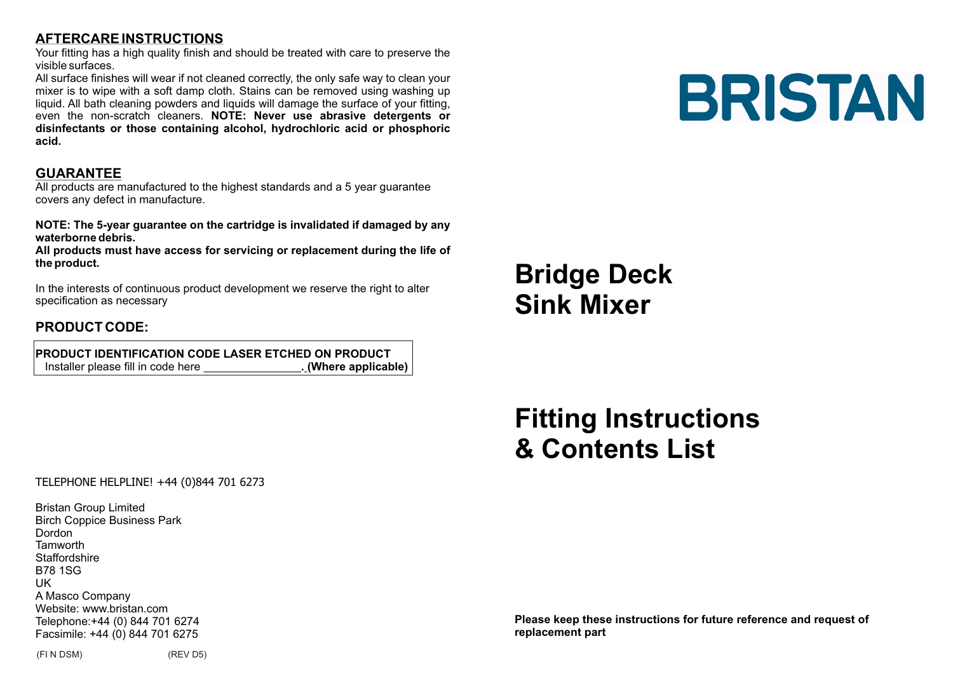## **AFTERCARE INSTRUCTIONS**

Your fitting has a high quality finish and should be treated with care to preserve the visible surfaces.

All surface finishes will wear if not cleaned correctly, the only safe way to clean your mixer is to wipe with a soft damp cloth. Stains can be removed using washing up liquid. All bath cleaning powders and liquids will damage the surface of your fitting, even the non-scratch cleaners. **NOTE: Never use abrasive detergents or disinfectants or those containing alcohol, hydrochloric acid or phosphoric acid.**

#### **GUARANTEE**

All products are manufactured to the highest standards and a 5 year guarantee covers any defect in manufacture.

**NOTE: The 5-year guarantee on the cartridge is invalidated if damaged by any waterborne debris.**

**All products must have access for servicing or replacement during the life of the product.**

In the interests of continuous product development we reserve the right to alter specification as necessary

### **PRODUCT CODE:**

 **PRODUCT IDENTIFICATION CODE LASER ETCHED ON PRODUCT**<br>Installer please fill in code here **1998** (Where applicable) Installer please fill in code here

# **BRISTAN**

# **Bridge Deck Sink Mixer**

# **Fitting Instructions & Contents List**

#### TELEPHONE HELPLINE! +44 (0)844 701 6273

Bristan Group Limited Birch Coppice Business Park Dordon **Tamworth** Staffordshire B78 1SG UK A Masco Company Website: www.bristan.com Telephone:+44 (0) 844 701 6274 Facsimile: +44 (0) 844 701 6275

(FI N DSM) (REV D5)

**Please keep these instructions for future reference and request of replacement part**